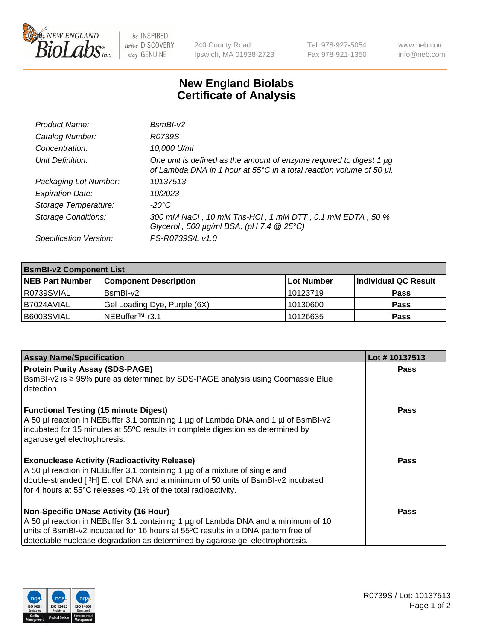

 $be$  INSPIRED drive DISCOVERY stay GENUINE

240 County Road Ipswich, MA 01938-2723 Tel 978-927-5054 Fax 978-921-1350 www.neb.com info@neb.com

## **New England Biolabs Certificate of Analysis**

| Product Name:              | $BsmBI-v2$                                                                                                                                  |
|----------------------------|---------------------------------------------------------------------------------------------------------------------------------------------|
| Catalog Number:            | R0739S                                                                                                                                      |
| Concentration:             | 10,000 U/ml                                                                                                                                 |
| Unit Definition:           | One unit is defined as the amount of enzyme required to digest 1 µg<br>of Lambda DNA in 1 hour at 55°C in a total reaction volume of 50 µl. |
| Packaging Lot Number:      | 10137513                                                                                                                                    |
| <b>Expiration Date:</b>    | 10/2023                                                                                                                                     |
| Storage Temperature:       | $-20^{\circ}$ C                                                                                                                             |
| <b>Storage Conditions:</b> | 300 mM NaCl, 10 mM Tris-HCl, 1 mM DTT, 0.1 mM EDTA, 50 %<br>Glycerol, 500 $\mu$ g/ml BSA, (pH 7.4 $@25°C$ )                                 |
| Specification Version:     | PS-R0739S/L v1.0                                                                                                                            |

| <b>BsmBI-v2 Component List</b> |                              |            |                      |  |  |
|--------------------------------|------------------------------|------------|----------------------|--|--|
| <b>NEB Part Number</b>         | <b>Component Description</b> | Lot Number | Individual QC Result |  |  |
| R0739SVIAL                     | $BsmBl-v2$                   | 10123719   | <b>Pass</b>          |  |  |
| B7024AVIAL                     | Gel Loading Dye, Purple (6X) | 10130600   | <b>Pass</b>          |  |  |
| B6003SVIAL                     | NEBuffer™ r3.1∣              | 10126635   | <b>Pass</b>          |  |  |

| <b>Assay Name/Specification</b>                                                                                 | Lot #10137513 |
|-----------------------------------------------------------------------------------------------------------------|---------------|
| <b>Protein Purity Assay (SDS-PAGE)</b>                                                                          | <b>Pass</b>   |
| BsmBI-v2 is ≥ 95% pure as determined by SDS-PAGE analysis using Coomassie Blue<br>l detection.                  |               |
| <b>Functional Testing (15 minute Digest)</b>                                                                    | Pass          |
| A 50 µl reaction in NEBuffer 3.1 containing 1 µg of Lambda DNA and 1 µl of BsmBI-v2                             |               |
| incubated for 15 minutes at 55°C results in complete digestion as determined by<br>agarose gel electrophoresis. |               |
|                                                                                                                 |               |
| <b>Exonuclease Activity (Radioactivity Release)</b>                                                             | Pass          |
| A 50 µl reaction in NEBuffer 3.1 containing 1 µg of a mixture of single and                                     |               |
| double-stranded [3H] E. coli DNA and a minimum of 50 units of BsmBI-v2 incubated                                |               |
| for 4 hours at 55°C releases <0.1% of the total radioactivity.                                                  |               |
| Non-Specific DNase Activity (16 Hour)                                                                           | Pass          |
| A 50 µl reaction in NEBuffer 3.1 containing 1 µg of Lambda DNA and a minimum of 10                              |               |
| units of BsmBI-v2 incubated for 16 hours at 55°C results in a DNA pattern free of                               |               |
| detectable nuclease degradation as determined by agarose gel electrophoresis.                                   |               |